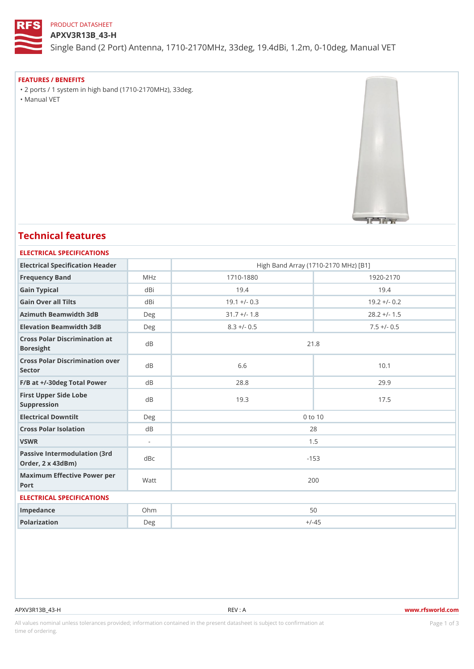## PRODUCT DATASHEET

#### APXV3R13B\_43-H

Single Band (2 Port) Antenna, 1710-2170MHz, 33deg, 19.4dBi, 1.2m, 0-

FEATURES / BENEFITS "2 ports / 1 system in high band (1710-2170MHz), 33deg. "Manual VET

# Technical features

#### ELECTRICAL SPECIFICATIONS

| Electrical Specification Header                       |        | High Band Array (1710-2170 MHz) [B1] |                |  |  |  |  |
|-------------------------------------------------------|--------|--------------------------------------|----------------|--|--|--|--|
| Frequency Band                                        | MHz    | $1710 - 1880$                        | $1920 - 2170$  |  |  |  |  |
| Gain Typical                                          | dBi    | 19.4                                 | 19.4           |  |  |  |  |
| Gain Over all Tilts                                   | dBi    | $19.1 + (-0.3)$                      | $19.2 + (-0.2$ |  |  |  |  |
| Azimuth Beamwidth 3dB                                 | Deg    | $31.7 +/- 1.8$                       | $28.2 +/- 1.5$ |  |  |  |  |
| Elevation Beamwidth 3dB                               | Deg    | $8.3 +/- 0.5$                        | $7.5 +/- 0.5$  |  |  |  |  |
| Cross Polar Discrimination at<br><b>Boresight</b>     |        | 21.8                                 |                |  |  |  |  |
| Cross Polar Discrimination over<br>Sector             |        | 6.6                                  | 10.1           |  |  |  |  |
| $F/B$ at $+/-30$ deg Total PowerdB                    |        | 28.8                                 | 29.9           |  |  |  |  |
| First Upper Side Lobe<br>Suppression                  | d B    | 19.3                                 | 17.5           |  |  |  |  |
| Electrical Downtilt                                   | Deg    | $0$ to $10$                          |                |  |  |  |  |
| Cross Polar Isolation                                 | d B    | 28                                   |                |  |  |  |  |
| VSWR                                                  | $\sim$ | 1.5                                  |                |  |  |  |  |
| Passive Intermodulation (3rd dBc<br>Order, 2 x 43dBm) |        | $-153$                               |                |  |  |  |  |
| Maximum Effective Power per<br>Port                   |        | 200                                  |                |  |  |  |  |
| ELECTRICAL SPECIFICATIONS                             |        |                                      |                |  |  |  |  |
| Impedance                                             | $Oh$ m | 50                                   |                |  |  |  |  |
| Polarization                                          | Deg    | $+/-45$                              |                |  |  |  |  |

APXV3R13B\_43-H REV : A www.rfsworld.com

All values nominal unless tolerances provided; information contained in the present datasheet is subject to PcaogneionIm atio time of ordering.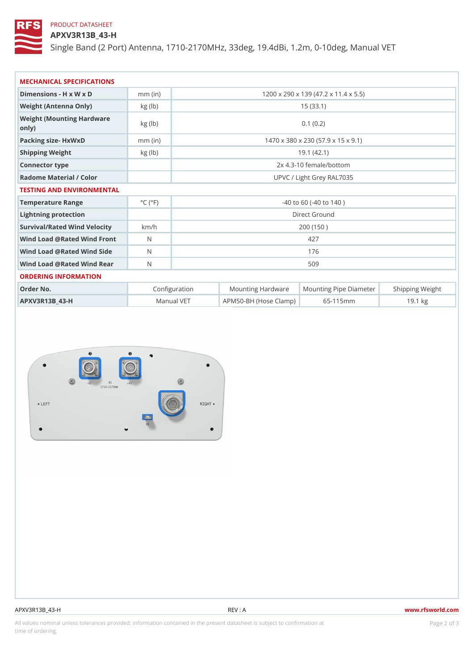## PRODUCT DATASHEET

## APXV3R13B\_43-H

Single Band (2 Port) Antenna, 1710-2170MHz, 33deg, 19.4dBi, 1.2m, 0-

| MECHANICAL SPECIFICATIONS                                          |                              |                                      |                                                     |  |  |  |
|--------------------------------------------------------------------|------------------------------|--------------------------------------|-----------------------------------------------------|--|--|--|
| Dimensions - H x W x D                                             | $mm$ (in)                    | 1200 x 290 x 139 (47.2 x 11.4 x 5.5) |                                                     |  |  |  |
| Weight (Antenna Only)                                              | kg (lb)                      | 15(33.1)                             |                                                     |  |  |  |
| Weight (Mounting Hardware kg (lb)<br>$\circ$ n $\vert$ y $\rangle$ |                              | 0.1(0.2)                             |                                                     |  |  |  |
| Packing size- HxWxD                                                | $mm$ (in)                    | 1470 x 380 x 230 (57.9 x 15 x 9.1)   |                                                     |  |  |  |
| Shipping Weight                                                    | kg (lb)                      | 19.1(42.1)                           |                                                     |  |  |  |
| Connector type                                                     |                              | 2x 4.3-10 female/bottom              |                                                     |  |  |  |
| Radome Material / Color                                            |                              | UPVC / Light Grey RAL7035            |                                                     |  |  |  |
| TESTING AND ENVIRONMENTAL                                          |                              |                                      |                                                     |  |  |  |
| Temperature Range                                                  | $^{\circ}$ C ( $^{\circ}$ F) | $-40$ to 60 ( $-40$ to 140)          |                                                     |  |  |  |
| Lightning protection                                               |                              | Direct Ground                        |                                                     |  |  |  |
| Survival/Rated Wind Velocikm/h                                     |                              | 200 (150)                            |                                                     |  |  |  |
| Wind Load @ Rated Wind Front                                       |                              | 427                                  |                                                     |  |  |  |
| Wind Load @ Rated Wind Sidb                                        |                              | 176                                  |                                                     |  |  |  |
| Wind Load @ Rated Wind ReaN                                        |                              | 509                                  |                                                     |  |  |  |
| ORDERING INFORMATION                                               |                              |                                      |                                                     |  |  |  |
| Order No.                                                          |                              | Configuration                        | Mounting HardwaMeunting Pipe D am Stheimping Weight |  |  |  |

| Order No.      | Configuration |                                          | Mounting Hardw¦aMleunting Pipe D∥améstheınpping Weig ht |
|----------------|---------------|------------------------------------------|---------------------------------------------------------|
| APXV3R13B 43-H |               | Manual VET   APM50-BH (Hose Clam65-115mm | 19.1 kg                                                 |

APXV3R13B\_43-H REV : A www.rfsworld.com